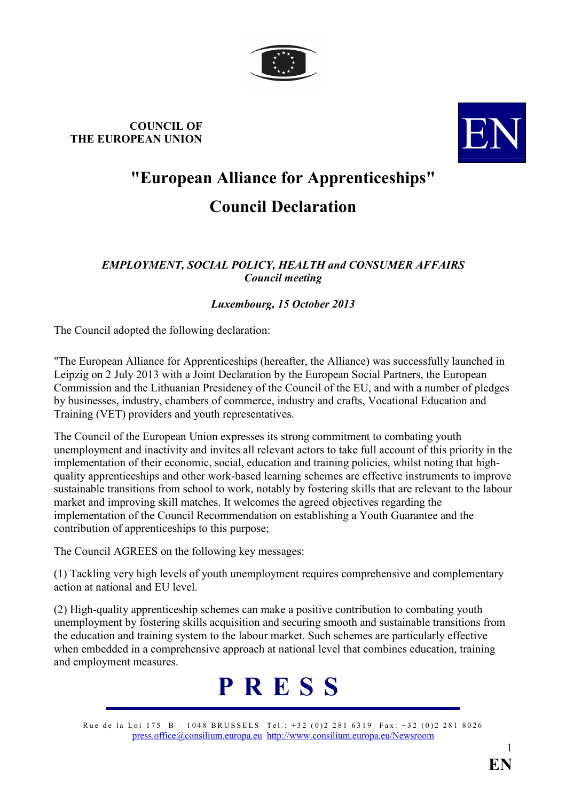

## **COUNCIL OF THE EUROPEAN UNION**



## **"European Alliance for Apprenticeships" Council Declaration**

## **EMPLOYMENT, SOCIAL POLICY, HEALTH and CONSUMER AFFAIRS** *Council meeting*

## *Luxembourg, 15 October 2013*

The Council adopted the following declaration:

"The European Alliance for Apprenticeships (hereafter, the Alliance) was successfully launched in Leipzig on 2 July 2013 with a Joint Declaration by the European Social Partners, the European Commission and the Lithuanian Presidency of the Council of the EU, and with a number of pledges by businesses, industry, chambers of commerce, industry and crafts, Vocational Education and Training (VET) providers and youth representatives.

The Council of the European Union expresses its strong commitment to combating youth unemployment and inactivity and invites all relevant actors to take full account of this priority in the implementation of their economic, social, education and training policies, whilst noting that highquality apprenticeships and other work-based learning schemes are effective instruments to improve sustainable transitions from school to work, notably by fostering skills that are relevant to the labour market and improving skill matches. It welcomes the agreed objectives regarding the implementation of the Council Recommendation on establishing a Youth Guarantee and the contribution of apprenticeships to this purpose;

The Council AGREES on the following key messages:

(1) Tackling very high levels of youth unemployment requires comprehensive and complementary action at national and EU level.

(2) High-quality apprenticeship schemes can make a positive contribution to combating youth unemployment by fostering skills acquisition and securing smooth and sustainable transitions from the education and training system to the labour market. Such schemes are particularly effective when embedded in a comprehensive approach at national level that combines education, training and employment measures.



Rue de la Loi 175 B – 1048 BRUSSELS Tel.: +32 (0)2 281 6319 Fax: +32 (0)2 281 8026 [press.office@consilium.europa.eu](mailto:press.office@consilium.eu.int) [http://www.consilium.europa.eu/Newsroom](http://ue.eu.int/Newsroom)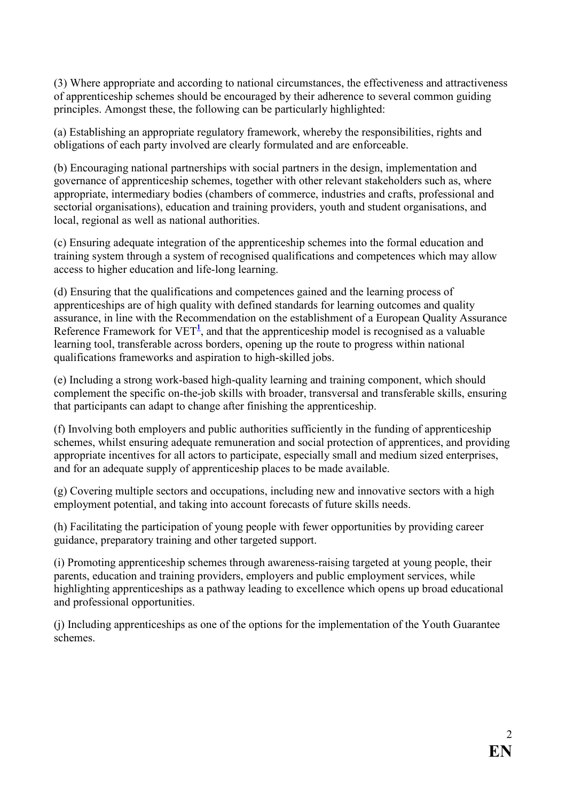(3) Where appropriate and according to national circumstances, the effectiveness and attractiveness of apprenticeship schemes should be encouraged by their adherence to several common guiding principles. Amongst these, the following can be particularly highlighted:

(a) Establishing an appropriate regulatory framework, whereby the responsibilities, rights and obligations of each party involved are clearly formulated and are enforceable.

(b) Encouraging national partnerships with social partners in the design, implementation and governance of apprenticeship schemes, together with other relevant stakeholders such as, where appropriate, intermediary bodies (chambers of commerce, industries and crafts, professional and sectorial organisations), education and training providers, youth and student organisations, and local, regional as well as national authorities.

(c) Ensuring adequate integration of the apprenticeship schemes into the formal education and training system through a system of recognised qualifications and competences which may allow access to higher education and life-long learning.

(d) Ensuring that the qualifications and competences gained and the learning process of apprenticeships are of high quality with defined standards for learning outcomes and quality assurance, in line with the Recommendation on the establishment of a European Quality Assurance Reference Framework for  $VET^1$ , and that the apprenticeship model is recognised as a valuable learning tool, transferable across borders, opening up the route to progress within national qualifications frameworks and aspiration to high-skilled jobs.

(e) Including a strong work-based high-quality learning and training component, which should complement the specific on-the-job skills with broader, transversal and transferable skills, ensuring that participants can adapt to change after finishing the apprenticeship.

(f) Involving both employers and public authorities sufficiently in the funding of apprenticeship schemes, whilst ensuring adequate remuneration and social protection of apprentices, and providing appropriate incentives for all actors to participate, especially small and medium sized enterprises, and for an adequate supply of apprenticeship places to be made available.

(g) Covering multiple sectors and occupations, including new and innovative sectors with a high employment potential, and taking into account forecasts of future skills needs.

(h) Facilitating the participation of young people with fewer opportunities by providing career guidance, preparatory training and other targeted support.

(i) Promoting apprenticeship schemes through awareness-raising targeted at young people, their parents, education and training providers, employers and public employment services, while highlighting apprenticeships as a pathway leading to excellence which opens up broad educational and professional opportunities.

(j) Including apprenticeships as one of the options for the implementation of the Youth Guarantee schemes.